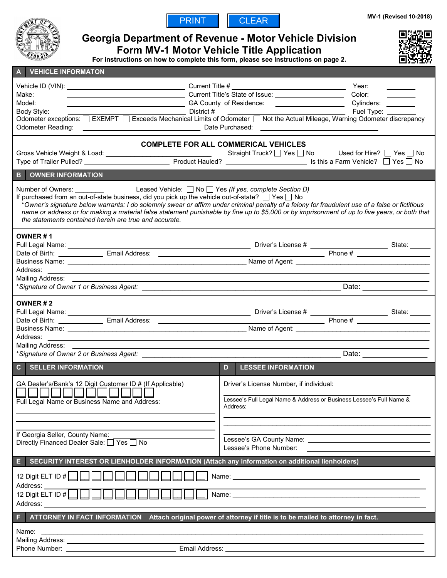



# **Georgia Department of Revenue - Motor Vehicle Division**

**Form MV-1 Motor Vehicle Title Application For instructions on how to complete this form, please see Instructions on page 2.**

| <b>VEHICLE INFORMATON</b><br>$\mathbf{A}$                                                                                                                                                                                                                                                                                                                                                                                                                                                                                                                     |                                                                                                                                                                                                                                                                                                                                   |  |
|---------------------------------------------------------------------------------------------------------------------------------------------------------------------------------------------------------------------------------------------------------------------------------------------------------------------------------------------------------------------------------------------------------------------------------------------------------------------------------------------------------------------------------------------------------------|-----------------------------------------------------------------------------------------------------------------------------------------------------------------------------------------------------------------------------------------------------------------------------------------------------------------------------------|--|
| Make:<br>Model:<br><b>Odometer Reading:</b>                                                                                                                                                                                                                                                                                                                                                                                                                                                                                                                   | Year:<br>Color:<br>Cylinders: ________________________GA County of Residence: ________________________Cylinders: __________<br>Body Style: Fuel Type: _________________________________District #<br>Odometer exceptions: □ EXEMPT □ Exceeds Mechanical Limits of Odometer □ Not the Actual Mileage, Warning Odometer discrepancy |  |
| <b>COMPLETE FOR ALL COMMERICAL VEHICLES</b><br>Straight Truck? Ves No Used for Hire? Yes No<br>OWNER INFORMATION<br>B.                                                                                                                                                                                                                                                                                                                                                                                                                                        |                                                                                                                                                                                                                                                                                                                                   |  |
| Number of Owners: Leased Vehicle: $\Box$ No $\Box$ Yes (If yes, complete Section D) If purchased from an out-of-state business, did you pick up the vehicle out-of-state? $\Box$ Yes $\Box$ No<br>*Owner's signature below warrants: I do solemnly swear or affirm under criminal penalty of a felony for fraudulent use of a false or fictitious<br>name or address or for making a material false statement punishable by fine up to \$5,000 or by imprisonment of up to five years, or both that<br>the statements contained herein are true and accurate. |                                                                                                                                                                                                                                                                                                                                   |  |
| OWNER#1<br>Mailing Address: __                                                                                                                                                                                                                                                                                                                                                                                                                                                                                                                                |                                                                                                                                                                                                                                                                                                                                   |  |
| OWNER#2<br>Mailing Address:                                                                                                                                                                                                                                                                                                                                                                                                                                                                                                                                   |                                                                                                                                                                                                                                                                                                                                   |  |
| <b>C</b> SELLER INFORMATION                                                                                                                                                                                                                                                                                                                                                                                                                                                                                                                                   | D<br><b>LESSEE INFORMATION</b>                                                                                                                                                                                                                                                                                                    |  |
| GA Dealer's/Bank's 12 Digit Customer ID # (If Applicable)<br>1000000000000<br>Full Legal Name or Business Name and Address:                                                                                                                                                                                                                                                                                                                                                                                                                                   | Driver's License Number, if individual:<br>Lessee's Full Legal Name & Address or Business Lessee's Full Name &<br>Address:                                                                                                                                                                                                        |  |
| If Georgia Seller, County Name:<br>Directly Financed Dealer Sale: □ Yes □ No                                                                                                                                                                                                                                                                                                                                                                                                                                                                                  | Lessee's Phone Number:                                                                                                                                                                                                                                                                                                            |  |
| SECURITY INTEREST OR LIENHOLDER INFORMATION (Attach any information on additional lienholders)<br>E<br>12 Digit ELT ID #<br>Address: ____<br>12 Digit ELT ID #<br>Name: Name: Name: Name: Name: Name: Name: Name: Name: Name: Name: Name: Name: Name: Name: Name: Name: Name: Name: Name: Name: Name: Name: Name: Name: Name: Name: Name: Name: Name: Name: Name: Name: Name: Name: Name: Name:<br>Address: __<br>ATTORNEY IN FACT INFORMATION Attach original power of attorney if title is to be mailed to attorney in fact.                                |                                                                                                                                                                                                                                                                                                                                   |  |
| Name:                                                                                                                                                                                                                                                                                                                                                                                                                                                                                                                                                         |                                                                                                                                                                                                                                                                                                                                   |  |